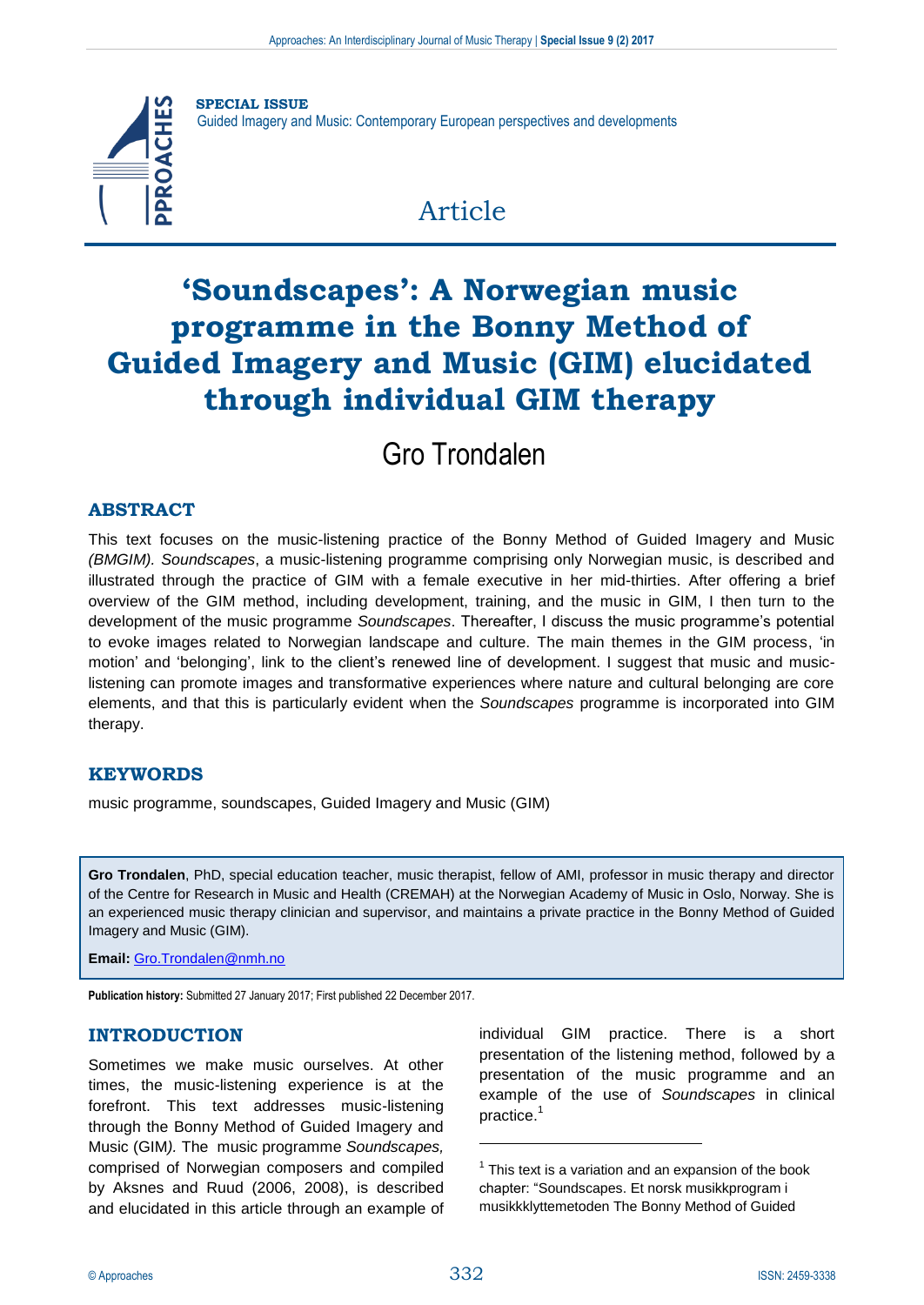

**SPECIAL ISSUE** Guided Imagery and Music: Contemporary European perspectives and developments

## Article

# **'Soundscapes': A Norwegian music programme in the Bonny Method of Guided Imagery and Music (GIM) elucidated through individual GIM therapy**

Gro Trondalen

## **ABSTRACT**

This text focuses on the music-listening practice of the Bonny Method of Guided Imagery and Music *(BMGIM). Soundscapes*, a music-listening programme comprising only Norwegian music, is described and illustrated through the practice of GIM with a female executive in her mid-thirties. After offering a brief overview of the GIM method, including development, training, and the music in GIM, I then turn to the development of the music programme *Soundscapes*. Thereafter, I discuss the music programme's potential to evoke images related to Norwegian landscape and culture. The main themes in the GIM process, 'in motion' and 'belonging', link to the client's renewed line of development. I suggest that music and musiclistening can promote images and transformative experiences where nature and cultural belonging are core elements, and that this is particularly evident when the *Soundscapes* programme is incorporated into GIM therapy.

## **KEYWORDS**

music programme, soundscapes, Guided Imagery and Music (GIM)

**Gro Trondalen**, PhD, special education teacher, music therapist, fellow of AMI, professor in music therapy and director of the Centre for Research in Music and Health (CREMAH) at the Norwegian Academy of Music in Oslo, Norway. She is an experienced music therapy clinician and supervisor, and maintains a private practice in the Bonny Method of Guided Imagery and Music (GIM).

**Email:** [Gro.Trondalen@nmh.no](mailto:Gro.Trondalen@nmh.no)

**Publication history:** Submitted 27 January 2017; First published 22 December 2017.

## **INTRODUCTION**

Sometimes we make music ourselves. At other times, the music-listening experience is at the forefront. This text addresses music-listening through the Bonny Method of Guided Imagery and Music (GIM*).* The music programme *Soundscapes,*  comprised of Norwegian composers and compiled by Aksnes and Ruud (2006, 2008), is described and elucidated in this article through an example of

individual GIM practice. There is a short presentation of the listening method, followed by a presentation of the music programme and an example of the use of *Soundscapes* in clinical practice.<sup>1</sup>

<u>.</u>

 $1$  This text is a variation and an expansion of the book chapter: "Soundscapes. Et norsk musikkprogram i musikkklyttemetoden The Bonny Method of Guided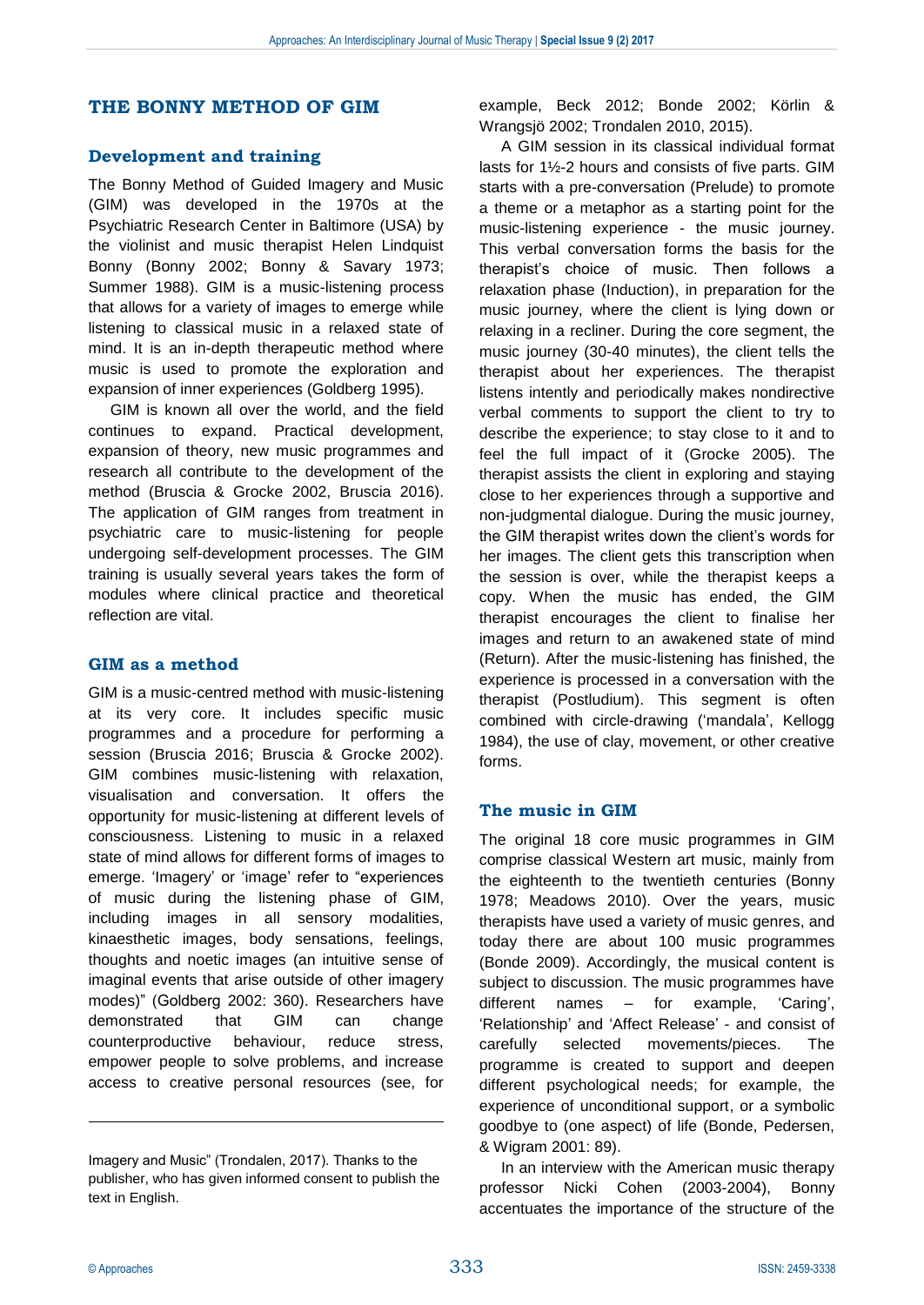#### **THE BONNY METHOD OF GIM**

#### **Development and training**

The Bonny Method of Guided Imagery and Music (GIM) was developed in the 1970s at the Psychiatric Research Center in Baltimore (USA) by the violinist and music therapist Helen Lindquist Bonny (Bonny 2002; Bonny & Savary 1973; Summer 1988). GIM is a music-listening process that allows for a variety of images to emerge while listening to classical music in a relaxed state of mind. It is an in-depth therapeutic method where music is used to promote the exploration and expansion of inner experiences (Goldberg 1995).

GIM is known all over the world, and the field continues to expand. Practical development, expansion of theory, new music programmes and research all contribute to the development of the method (Bruscia & Grocke 2002, Bruscia 2016). The application of GIM ranges from treatment in psychiatric care to music-listening for people undergoing self-development processes. The GIM training is usually several years takes the form of modules where clinical practice and theoretical reflection are vital.

#### **GIM as a method**

GIM is a music-centred method with music-listening at its very core. It includes specific music programmes and a procedure for performing a session (Bruscia 2016; Bruscia & Grocke 2002). GIM combines music-listening with relaxation, visualisation and conversation. It offers the opportunity for music-listening at different levels of consciousness. Listening to music in a relaxed state of mind allows for different forms of images to emerge. 'Imagery' or 'image' refer to "experiences of music during the listening phase of GIM, including images in all sensory modalities, kinaesthetic images, body sensations, feelings, thoughts and noetic images (an intuitive sense of imaginal events that arise outside of other imagery modes)" (Goldberg 2002: 360). Researchers have demonstrated that GIM can change counterproductive behaviour, reduce stress, empower people to solve problems, and increase access to creative personal resources (see, for example, Beck 2012; Bonde 2002; Körlin & Wrangsjö 2002; Trondalen 2010, 2015).

A GIM session in its classical individual format lasts for 1½-2 hours and consists of five parts. GIM starts with a pre-conversation (Prelude) to promote a theme or a metaphor as a starting point for the music-listening experience - the music journey. This verbal conversation forms the basis for the therapist's choice of music. Then follows a relaxation phase (Induction), in preparation for the music journey, where the client is lying down or relaxing in a recliner. During the core segment, the music journey (30-40 minutes), the client tells the therapist about her experiences. The therapist listens intently and periodically makes nondirective verbal comments to support the client to try to describe the experience; to stay close to it and to feel the full impact of it (Grocke 2005). The therapist assists the client in exploring and staying close to her experiences through a supportive and non-judgmental dialogue. During the music journey, the GIM therapist writes down the client's words for her images. The client gets this transcription when the session is over, while the therapist keeps a copy. When the music has ended, the GIM therapist encourages the client to finalise her images and return to an awakened state of mind (Return). After the music-listening has finished, the experience is processed in a conversation with the therapist (Postludium). This segment is often combined with circle-drawing ('mandala', Kellogg 1984), the use of clay, movement, or other creative forms.

#### **The music in GIM**

The original 18 core music programmes in GIM comprise classical Western art music, mainly from the eighteenth to the twentieth centuries (Bonny 1978; Meadows 2010). Over the years, music therapists have used a variety of music genres, and today there are about 100 music programmes (Bonde 2009). Accordingly, the musical content is subject to discussion. The music programmes have different names – for example, 'Caring', 'Relationship' and 'Affect Release' - and consist of carefully selected movements/pieces. The programme is created to support and deepen different psychological needs; for example, the experience of unconditional support, or a symbolic goodbye to (one aspect) of life (Bonde, Pedersen, & Wigram 2001: 89).

In an interview with the American music therapy professor Nicki Cohen (2003-2004), Bonny accentuates the importance of the structure of the

<u>.</u>

Imagery and Music" (Trondalen, 2017). Thanks to the publisher, who has given informed consent to publish the text in English.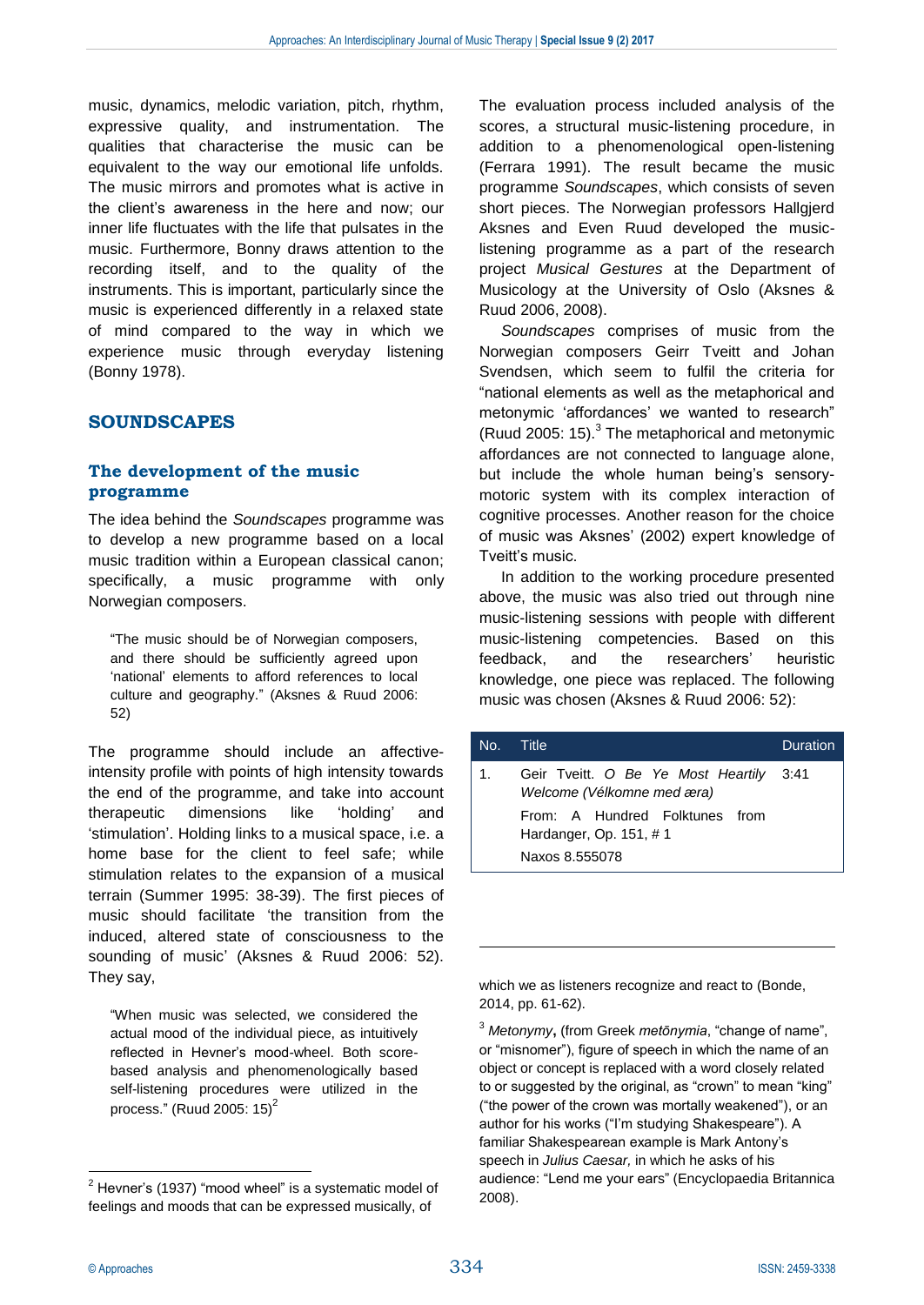music, dynamics, melodic variation, pitch, rhythm, expressive quality, and instrumentation. The qualities that characterise the music can be equivalent to the way our emotional life unfolds. The music mirrors and promotes what is active in the client's awareness in the here and now; our inner life fluctuates with the life that pulsates in the music. Furthermore, Bonny draws attention to the recording itself, and to the quality of the instruments. This is important, particularly since the music is experienced differently in a relaxed state of mind compared to the way in which we experience music through everyday listening (Bonny 1978).

## **SOUNDSCAPES**

#### **The development of the music programme**

The idea behind the *Soundscapes* programme was to develop a new programme based on a local music tradition within a European classical canon; specifically, a music programme with only Norwegian composers.

"The music should be of Norwegian composers, and there should be sufficiently agreed upon 'national' elements to afford references to local culture and geography." (Aksnes & Ruud 2006: 52)

The programme should include an affectiveintensity profile with points of high intensity towards the end of the programme, and take into account therapeutic dimensions like 'holding' and 'stimulation'. Holding links to a musical space, i.e. a home base for the client to feel safe; while stimulation relates to the expansion of a musical terrain (Summer 1995: 38-39). The first pieces of music should facilitate 'the transition from the induced, altered state of consciousness to the sounding of music' (Aksnes & Ruud 2006: 52). They say,

"When music was selected, we considered the actual mood of the individual piece, as intuitively reflected in Hevner's mood-wheel. Both scorebased analysis and phenomenologically based self-listening procedures were utilized in the process." (Ruud 2005: 15) $2$ 

The evaluation process included analysis of the scores, a structural music-listening procedure, in addition to a phenomenological open-listening (Ferrara 1991). The result became the music programme *Soundscapes*, which consists of seven short pieces. The Norwegian professors Hallgjerd Aksnes and Even Ruud developed the musiclistening programme as a part of the research project *Musical Gestures* at the Department of Musicology at the University of Oslo (Aksnes & Ruud 2006, 2008).

*Soundscapes* comprises of music from the Norwegian composers Geirr Tveitt and Johan Svendsen, which seem to fulfil the criteria for "national elements as well as the metaphorical and metonymic 'affordances' we wanted to research" (Ruud 2005: 15). $3$  The metaphorical and metonymic affordances are not connected to language alone, but include the whole human being's sensorymotoric system with its complex interaction of cognitive processes. Another reason for the choice of music was Aksnes' (2002) expert knowledge of Tveitt's music.

In addition to the working procedure presented above, the music was also tried out through nine music-listening sessions with people with different music-listening competencies. Based on this feedback, and the researchers' heuristic knowledge, one piece was replaced. The following music was chosen (Aksnes & Ruud 2006: 52):

| No. Title |                                                                       | Duration |
|-----------|-----------------------------------------------------------------------|----------|
| $1_{-}$   | Geir Tveitt. O Be Ye Most Heartily 3:41<br>Welcome (Vélkomne med æra) |          |
|           | From: A Hundred Folktunes from<br>Hardanger, Op. 151, #1              |          |
|           | Naxos 8.555078                                                        |          |

which we as listeners recognize and react to (Bonde, 2014, pp. 61-62).

<sup>3</sup> *Metonymy***,** (from Greek *metōnymia*, "change of name", or "misnomer"), figure of speech in which the name of an object or concept is replaced with a word closely related to or suggested by the original, as "crown" to mean "king" ("the power of the crown was mortally weakened"), or an author for his works ("I'm studying Shakespeare"). A familiar Shakespearean example is Mark Antony's speech in *Julius Caesar,* in which he asks of his audience: "Lend me your ears" (Encyclopaedia Britannica 2008).

1

1

 $2$  Hevner's (1937) "mood wheel" is a systematic model of feelings and moods that can be expressed musically, of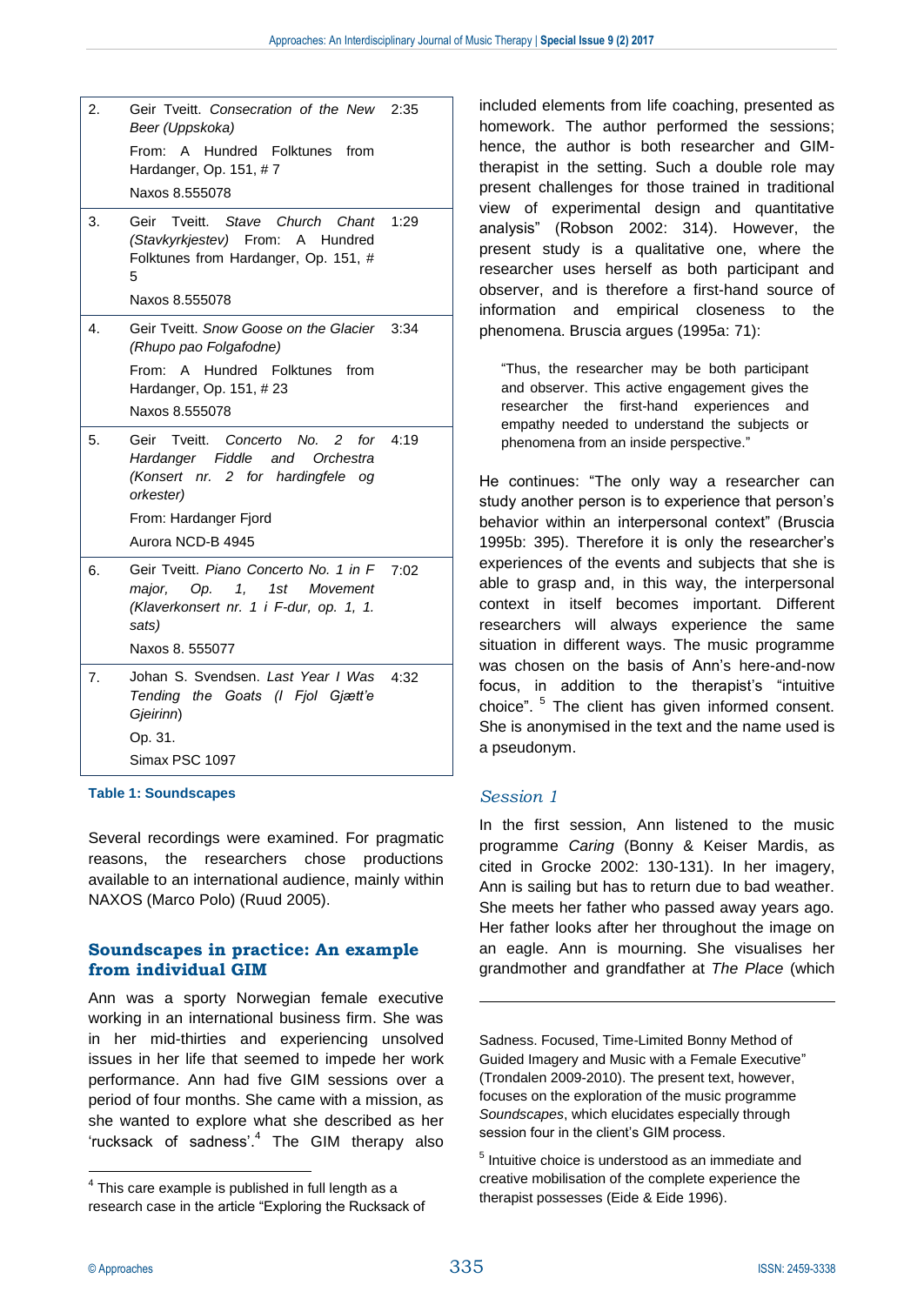| 2. | Geir Tveitt. Consecration of the New 2:35<br>Beer (Uppskoka)<br>From: A Hundred Folktunes from<br>Hardanger, Op. 151, #7<br>Naxos 8.555078                             |
|----|------------------------------------------------------------------------------------------------------------------------------------------------------------------------|
| 3. | Tveitt. Stave Church<br>Chant<br>1:29<br>Geir<br>(Stavkyrkjestev) From: A Hundred<br>Folktunes from Hardanger, Op. 151, #<br>5<br>Naxos 8.555078                       |
| 4. | Geir Tyeitt. Snow Goose on the Glacier 3:34<br>(Rhupo pao Folgafodne)<br>From:<br>A Hundred Folktunes from<br>Hardanger, Op. 151, #23<br>Naxos 8.555078                |
| 5. | Geir Tveitt. Concerto No. 2 for 4:19<br>Hardanger Fiddle and Orchestra<br>(Konsert nr. 2 for hardingfele og<br>orkester)<br>From: Hardanger Fjord<br>Aurora NCD-B 4945 |
| 6. | Geir Tveitt. Piano Concerto No. 1 in F<br>7:02<br>Op. 1, 1st Movement<br>major.<br>(Klaverkonsert nr. 1 i F-dur, op. 1, 1.<br>sats)<br>Naxos 8, 555077                 |
| 7. | Johan S. Svendsen. Last Year I Was<br>4:32<br>Tending the Goats (I Fjol Gjætt'e<br>Gjeirinn)<br>Op. 31.<br>Simax PSC 1097                                              |

**Table 1: Soundscapes**

Several recordings were examined. For pragmatic reasons, the researchers chose productions available to an international audience, mainly within NAXOS (Marco Polo) (Ruud 2005).

## **Soundscapes in practice: An example from individual GIM**

Ann was a sporty Norwegian female executive working in an international business firm. She was in her mid-thirties and experiencing unsolved issues in her life that seemed to impede her work performance. Ann had five GIM sessions over a period of four months. She came with a mission, as she wanted to explore what she described as her 'rucksack of sadness'.<sup>4</sup> The GIM therapy also

included elements from life coaching, presented as homework. The author performed the sessions; hence, the author is both researcher and GIMtherapist in the setting. Such a double role may present challenges for those trained in traditional view of experimental design and quantitative analysis" (Robson 2002: 314). However, the present study is a qualitative one, where the researcher uses herself as both participant and observer, and is therefore a first-hand source of information and empirical closeness to the phenomena. Bruscia argues (1995a: 71):

"Thus, the researcher may be both participant and observer. This active engagement gives the researcher the first-hand experiences and empathy needed to understand the subjects or phenomena from an inside perspective."

He continues: "The only way a researcher can study another person is to experience that person's behavior within an interpersonal context" (Bruscia 1995b: 395). Therefore it is only the researcher's experiences of the events and subjects that she is able to grasp and, in this way, the interpersonal context in itself becomes important. Different researchers will always experience the same situation in different ways. The music programme was chosen on the basis of Ann's here-and-now focus, in addition to the therapist's "intuitive choice". <sup>5</sup> The client has given informed consent. She is anonymised in the text and the name used is a pseudonym.

## *Session 1*

In the first session, Ann listened to the music programme *Caring* (Bonny & Keiser Mardis, as cited in Grocke 2002: 130-131). In her imagery, Ann is sailing but has to return due to bad weather. She meets her father who passed away years ago. Her father looks after her throughout the image on an eagle. Ann is mourning. She visualises her grandmother and grandfather at *The Place* (which

Sadness. Focused, Time-Limited Bonny Method of Guided Imagery and Music with a Female Executive" (Trondalen 2009-2010). The present text, however, focuses on the exploration of the music programme *Soundscapes*, which elucidates especially through session four in the client's GIM process.

1

1

 $4$  This care example is published in full length as a research case in the article "Exploring the Rucksack of

<sup>&</sup>lt;sup>5</sup> Intuitive choice is understood as an immediate and creative mobilisation of the complete experience the therapist possesses (Eide & Eide 1996).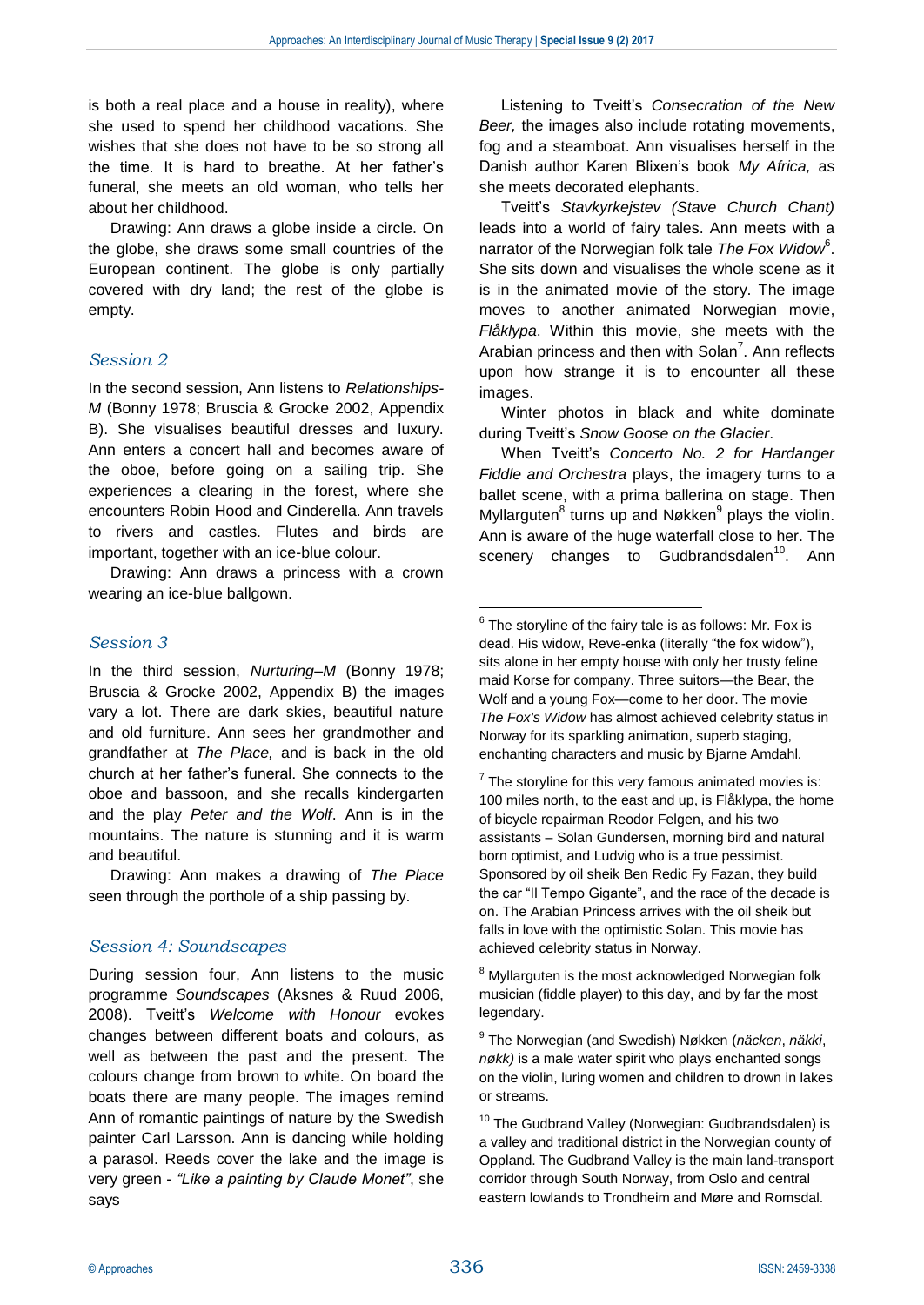<u>.</u>

is both a real place and a house in reality), where she used to spend her childhood vacations. She wishes that she does not have to be so strong all the time. It is hard to breathe. At her father's funeral, she meets an old woman, who tells her about her childhood.

Drawing: Ann draws a globe inside a circle. On the globe, she draws some small countries of the European continent. The globe is only partially covered with dry land; the rest of the globe is empty.

#### *Session 2*

In the second session, Ann listens to *Relationships-M* (Bonny 1978; Bruscia & Grocke 2002, Appendix B). She visualises beautiful dresses and luxury. Ann enters a concert hall and becomes aware of the oboe, before going on a sailing trip. She experiences a clearing in the forest, where she encounters Robin Hood and Cinderella. Ann travels to rivers and castles. Flutes and birds are important, together with an ice-blue colour.

Drawing: Ann draws a princess with a crown wearing an ice-blue ballgown.

#### *Session 3*

In the third session, *Nurturing–M* (Bonny 1978; Bruscia & Grocke 2002, Appendix B) the images vary a lot. There are dark skies, beautiful nature and old furniture. Ann sees her grandmother and grandfather at *The Place,* and is back in the old church at her father's funeral. She connects to the oboe and bassoon, and she recalls kindergarten and the play *Peter and the Wolf*. Ann is in the mountains. The nature is stunning and it is warm and beautiful.

Drawing: Ann makes a drawing of *The Place* seen through the porthole of a ship passing by.

#### *Session 4: Soundscapes*

Listening to Tveitt's *Consecration of the New Beer,* the images also include rotating movements, fog and a steamboat. Ann visualises herself in the Danish author Karen Blixen's book *My Africa,* as she meets decorated elephants.

Tveitt's *Stavkyrkejstev (Stave Church Chant)* leads into a world of fairy tales. Ann meets with a narrator of the Norwegian folk tale The Fox Widow<sup>6</sup>. She sits down and visualises the whole scene as it is in the animated movie of the story. The image moves to another animated Norwegian movie, *Flåklypa*. Within this movie, she meets with the Arabian princess and then with Solan<sup>7</sup>. Ann reflects upon how strange it is to encounter all these images.

Winter photos in black and white dominate during Tveitt's *Snow Goose on the Glacier*.

When Tveitt's *Concerto No. 2 for Hardanger Fiddle and Orchestra* plays, the imagery turns to a ballet scene, with a prima ballerina on stage. Then Myllarguten<sup>8</sup> turns up and Nøkken<sup>9</sup> plays the violin. Ann is aware of the huge waterfall close to her. The scenery changes to Gudbrandsdalen<sup>10</sup>. Ann

<sup>8</sup> Myllarguten is the most acknowledged Norwegian folk musician (fiddle player) to this day, and by far the most legendary.

During session four, Ann listens to the music programme *Soundscapes* (Aksnes & Ruud 2006, 2008). Tveitt's *Welcome with Honour* evokes changes between different boats and colours, as well as between the past and the present. The colours change from brown to white. On board the boats there are many people. The images remind Ann of romantic paintings of nature by the Swedish painter Carl Larsson. Ann is dancing while holding a parasol. Reeds cover the lake and the image is very green - *"Like a painting by Claude Monet"*, she says

 $6$  The storyline of the fairy tale is as follows: Mr. Fox is dead. His widow, Reve-enka (literally "the fox widow"), sits alone in her empty house with only her trusty feline maid Korse for company. Three suitors—the Bear, the Wolf and a young Fox—come to her door. The movie *The Fox's Widow* has almost achieved celebrity status in Norway for its sparkling animation, superb staging, enchanting characters and music by Bjarne Amdahl.

 $7$  The storyline for this very famous animated movies is: 100 miles north, to the east and up, is Flåklypa, the home of bicycle repairman Reodor Felgen, and his two assistants – Solan Gundersen, morning bird and natural born optimist, and Ludvig who is a true pessimist. Sponsored by oil sheik Ben Redic Fy Fazan, they build the car "Il Tempo Gigante", and the race of the decade is on. The Arabian Princess arrives with the oil sheik but falls in love with the optimistic Solan. This movie has achieved celebrity status in Norway.

<sup>9</sup> The Norwegian (and Swedish) Nøkken (*näcken*, *näkki*, *nøkk)* is a male water spirit who plays enchanted songs on the violin, luring women and children to drown in lakes or streams.

<sup>&</sup>lt;sup>10</sup> The Gudbrand Valley (Norwegian: Gudbrandsdalen) is a valley and traditional district in the Norwegian county of Oppland. The Gudbrand Valley is the main land-transport corridor through South Norway, from Oslo and central eastern lowlands to Trondheim and Møre and Romsdal.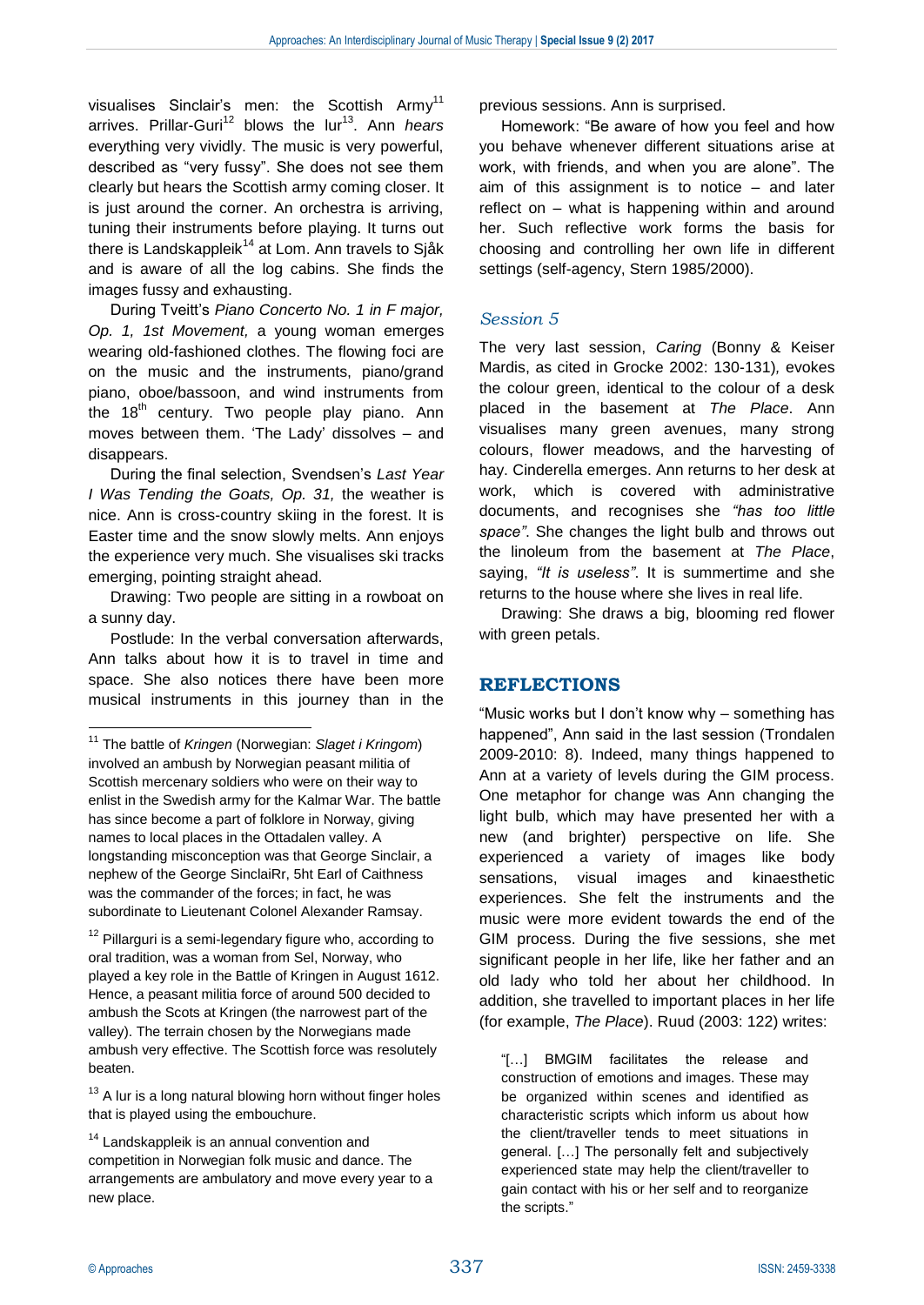visualises Sinclair's men: the Scottish Army<sup>11</sup> arrives. Prillar-Guri<sup>12</sup> blows the lur<sup>13</sup>. Ann *hears* everything very vividly. The music is very powerful, described as "very fussy". She does not see them clearly but hears the Scottish army coming closer. It is just around the corner. An orchestra is arriving, tuning their instruments before playing. It turns out there is Landskappleik<sup>14</sup> at Lom. Ann travels to Sjåk and is aware of all the log cabins. She finds the images fussy and exhausting.

During Tveitt's *Piano Concerto No. 1 in F major, Op. 1, 1st Movement,* a young woman emerges wearing old-fashioned clothes. The flowing foci are on the music and the instruments, piano/grand piano, oboe/bassoon, and wind instruments from the  $18<sup>th</sup>$  century. Two people play piano. Ann moves between them. 'The Lady' dissolves – and disappears.

During the final selection, Svendsen's *Last Year I Was Tending the Goats, Op. 31,* the weather is nice. Ann is cross-country skiing in the forest. It is Easter time and the snow slowly melts. Ann enjoys the experience very much. She visualises ski tracks emerging, pointing straight ahead.

Drawing: Two people are sitting in a rowboat on a sunny day.

Postlude: In the verbal conversation afterwards, Ann talks about how it is to travel in time and space. She also notices there have been more musical instruments in this journey than in the

 $12$  Pillarguri is a semi-legendary figure who, according to oral tradition, was a woman from Sel, Norway, who played a key role in the Battle of Kringen in August 1612. Hence, a peasant militia force of around 500 decided to ambush the Scots at Kringen (the narrowest part of the valley). The terrain chosen by the Norwegians made ambush very effective. The Scottish force was resolutely beaten.

 $13$  A lur is a long natural blowing horn without finger holes that is played using the embouchure.

previous sessions. Ann is surprised.

Homework: "Be aware of how you feel and how you behave whenever different situations arise at work, with friends, and when you are alone". The aim of this assignment is to notice – and later reflect on – what is happening within and around her. Such reflective work forms the basis for choosing and controlling her own life in different settings (self-agency, Stern 1985/2000).

## *Session 5*

The very last session, *Caring* (Bonny & Keiser Mardis, as cited in Grocke 2002: 130-131)*,* evokes the colour green, identical to the colour of a desk placed in the basement at *The Place*. Ann visualises many green avenues, many strong colours, flower meadows, and the harvesting of hay. Cinderella emerges. Ann returns to her desk at work, which is covered with administrative documents, and recognises she *"has too little space"*. She changes the light bulb and throws out the linoleum from the basement at *The Place*, saying, *"It is useless"*. It is summertime and she returns to the house where she lives in real life.

Drawing: She draws a big, blooming red flower with green petals.

## **REFLECTIONS**

"Music works but I don't know why – something has happened", Ann said in the last session (Trondalen 2009-2010: 8). Indeed, many things happened to Ann at a variety of levels during the GIM process. One metaphor for change was Ann changing the light bulb, which may have presented her with a new (and brighter) perspective on life. She experienced a variety of images like body sensations, visual images and kinaesthetic experiences. She felt the instruments and the music were more evident towards the end of the GIM process. During the five sessions, she met significant people in her life, like her father and an old lady who told her about her childhood. In addition, she travelled to important places in her life (for example, *The Place*). Ruud (2003: 122) writes:

"[…] BMGIM facilitates the release and construction of emotions and images. These may be organized within scenes and identified as characteristic scripts which inform us about how the client/traveller tends to meet situations in general. […] The personally felt and subjectively experienced state may help the client/traveller to gain contact with his or her self and to reorganize the scripts."

<u>.</u>

<sup>11</sup> The battle of *Kringen* (Norwegian: *Slaget i Kringom*) involved an ambush by Norwegian peasant militia of Scottish mercenary soldiers who were on their way to enlist in the Swedish army for the Kalmar War. The battle has since become a part of folklore in Norway, giving names to local places in the Ottadalen valley. A longstanding misconception was that George Sinclair, a nephew of the George SinclaiRr, 5ht Earl of Caithness was the commander of the forces; in fact, he was subordinate to Lieutenant Colonel Alexander Ramsay.

<sup>&</sup>lt;sup>14</sup> Landskappleik is an annual convention and competition in Norwegian folk music and dance. The arrangements are ambulatory and move every year to a new place.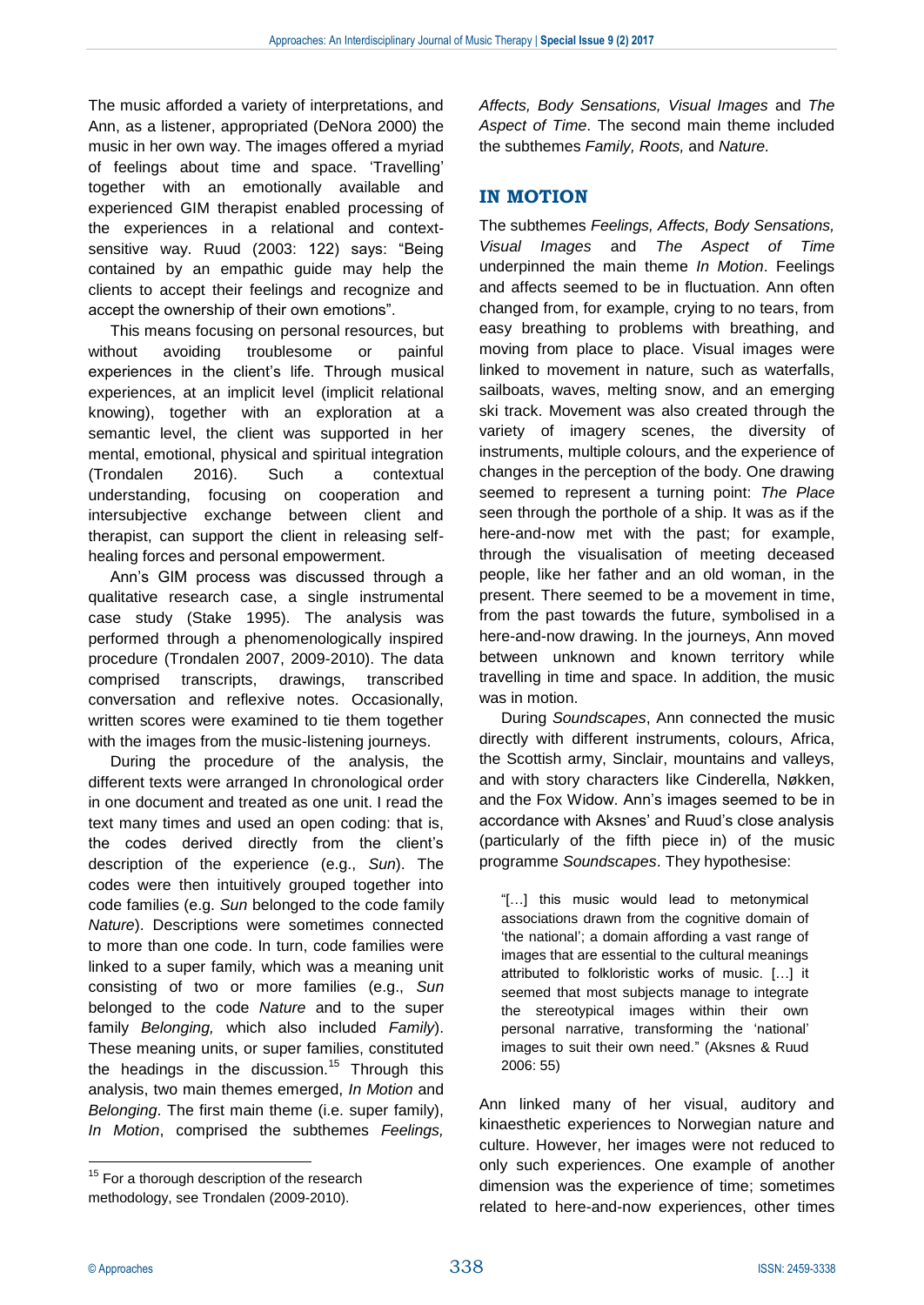The music afforded a variety of interpretations, and Ann, as a listener, appropriated (DeNora 2000) the music in her own way. The images offered a myriad of feelings about time and space. 'Travelling' together with an emotionally available and experienced GIM therapist enabled processing of the experiences in a relational and contextsensitive way. Ruud (2003: 122) says: "Being contained by an empathic guide may help the clients to accept their feelings and recognize and accept the ownership of their own emotions".

This means focusing on personal resources, but without avoiding troublesome or painful experiences in the client's life. Through musical experiences, at an implicit level (implicit relational knowing), together with an exploration at a semantic level, the client was supported in her mental, emotional, physical and spiritual integration (Trondalen 2016). Such a contextual understanding, focusing on cooperation and intersubjective exchange between client and therapist, can support the client in releasing selfhealing forces and personal empowerment.

Ann's GIM process was discussed through a qualitative research case, a single instrumental case study (Stake 1995). The analysis was performed through a phenomenologically inspired procedure (Trondalen 2007, 2009-2010). The data comprised transcripts, drawings, transcribed conversation and reflexive notes. Occasionally, written scores were examined to tie them together with the images from the music-listening journeys.

During the procedure of the analysis, the different texts were arranged In chronological order in one document and treated as one unit. I read the text many times and used an open coding: that is, the codes derived directly from the client's description of the experience (e.g., *Sun*). The codes were then intuitively grouped together into code families (e.g. *Sun* belonged to the code family *Nature*). Descriptions were sometimes connected to more than one code. In turn, code families were linked to a super family, which was a meaning unit consisting of two or more families (e.g., *Sun* belonged to the code *Nature* and to the super family *Belonging,* which also included *Family*). These meaning units, or super families, constituted the headings in the discussion.<sup>15</sup> Through this analysis, two main themes emerged, *In Motion* and *Belonging*. The first main theme (i.e. super family), *In Motion*, comprised the subthemes *Feelings,* 

*Affects, Body Sensations, Visual Images* and *The Aspect of Time*. The second main theme included the subthemes *Family, Roots,* and *Nature.*

## **IN MOTION**

The subthemes *Feelings, Affects, Body Sensations, Visual Images* and *The Aspect of Time* underpinned the main theme *In Motion*. Feelings and affects seemed to be in fluctuation. Ann often changed from, for example, crying to no tears, from easy breathing to problems with breathing, and moving from place to place. Visual images were linked to movement in nature, such as waterfalls, sailboats, waves, melting snow, and an emerging ski track. Movement was also created through the variety of imagery scenes, the diversity of instruments, multiple colours, and the experience of changes in the perception of the body. One drawing seemed to represent a turning point: *The Place* seen through the porthole of a ship. It was as if the here-and-now met with the past; for example, through the visualisation of meeting deceased people, like her father and an old woman, in the present. There seemed to be a movement in time, from the past towards the future, symbolised in a here-and-now drawing. In the journeys, Ann moved between unknown and known territory while travelling in time and space. In addition, the music was in motion.

During *Soundscapes*, Ann connected the music directly with different instruments, colours, Africa, the Scottish army, Sinclair, mountains and valleys, and with story characters like Cinderella, Nøkken, and the Fox Widow. Ann's images seemed to be in accordance with Aksnes' and Ruud's close analysis (particularly of the fifth piece in) of the music programme *Soundscapes*. They hypothesise:

"[…] this music would lead to metonymical associations drawn from the cognitive domain of 'the national'; a domain affording a vast range of images that are essential to the cultural meanings attributed to folkloristic works of music. […] it seemed that most subjects manage to integrate the stereotypical images within their own personal narrative, transforming the 'national' images to suit their own need." (Aksnes & Ruud 2006: 55)

Ann linked many of her visual, auditory and kinaesthetic experiences to Norwegian nature and culture. However, her images were not reduced to only such experiences. One example of another dimension was the experience of time; sometimes related to here-and-now experiences, other times

1

 $15$  For a thorough description of the research methodology, see Trondalen (2009-2010).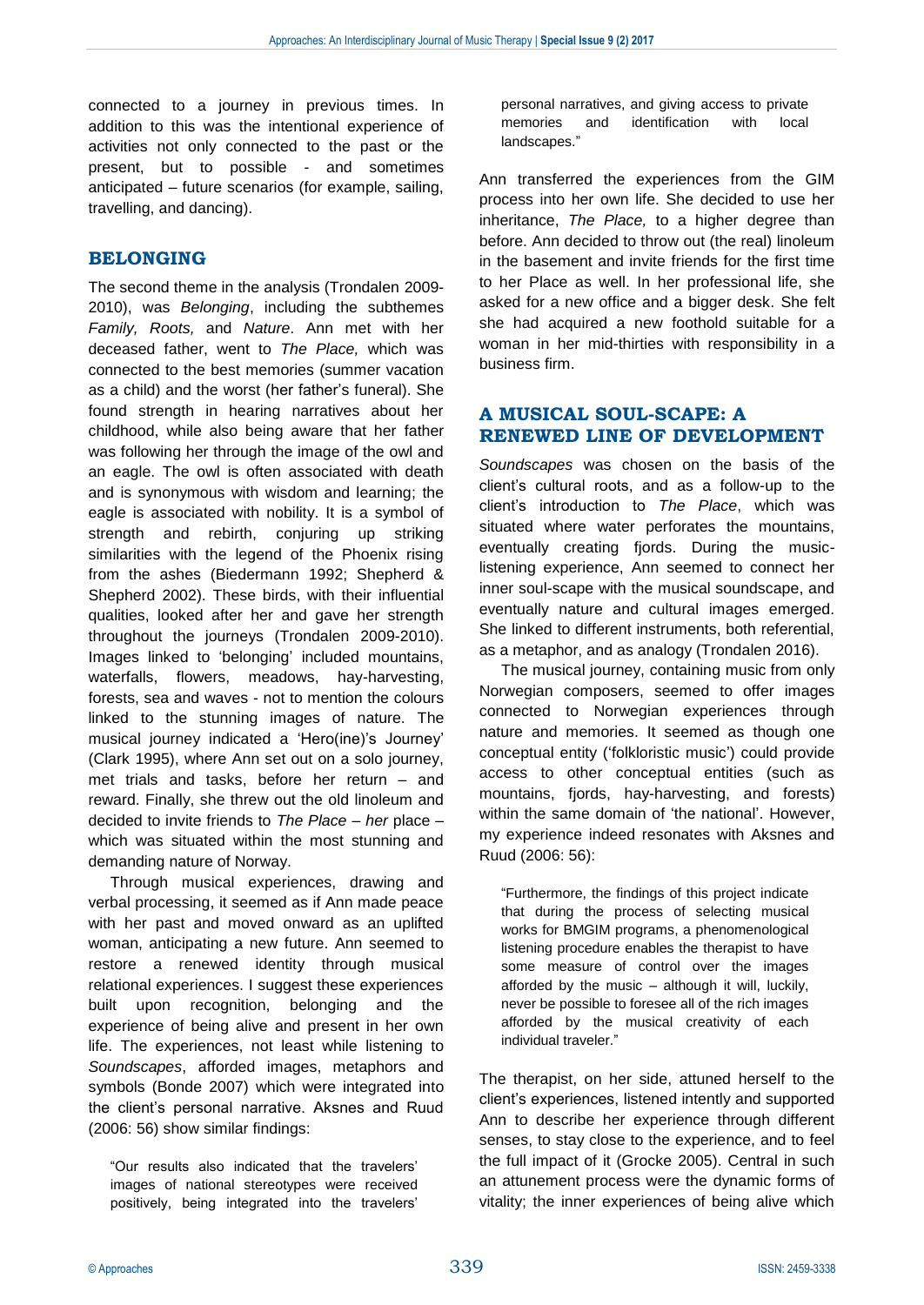connected to a journey in previous times. In addition to this was the intentional experience of activities not only connected to the past or the present, but to possible - and sometimes anticipated – future scenarios (for example, sailing, travelling, and dancing).

## **BELONGING**

The second theme in the analysis (Trondalen 2009- 2010), was *Belonging*, including the subthemes *Family, Roots,* and *Nature*. Ann met with her deceased father, went to *The Place,* which was connected to the best memories (summer vacation as a child) and the worst (her father's funeral). She found strength in hearing narratives about her childhood, while also being aware that her father was following her through the image of the owl and an eagle. The owl is often associated with death and is synonymous with wisdom and learning; the eagle is associated with nobility. It is a symbol of strength and rebirth, conjuring up striking similarities with the legend of the Phoenix rising from the ashes (Biedermann 1992; Shepherd & Shepherd 2002). These birds, with their influential qualities, looked after her and gave her strength throughout the journeys (Trondalen 2009-2010). Images linked to 'belonging' included mountains, waterfalls, flowers, meadows, hay-harvesting, forests, sea and waves - not to mention the colours linked to the stunning images of nature. The musical journey indicated a 'Hero(ine)'s Journey' (Clark 1995), where Ann set out on a solo journey, met trials and tasks, before her return – and reward. Finally, she threw out the old linoleum and decided to invite friends to *The Place* – *her* place – which was situated within the most stunning and demanding nature of Norway.

Through musical experiences, drawing and verbal processing, it seemed as if Ann made peace with her past and moved onward as an uplifted woman, anticipating a new future. Ann seemed to restore a renewed identity through musical relational experiences. I suggest these experiences built upon recognition, belonging and the experience of being alive and present in her own life. The experiences, not least while listening to *Soundscapes*, afforded images, metaphors and symbols (Bonde 2007) which were integrated into the client's personal narrative. Aksnes and Ruud (2006: 56) show similar findings:

"Our results also indicated that the travelers' images of national stereotypes were received positively, being integrated into the travelers'

personal narratives, and giving access to private memories and identification with local landscapes."

Ann transferred the experiences from the GIM process into her own life. She decided to use her inheritance, *The Place,* to a higher degree than before. Ann decided to throw out (the real) linoleum in the basement and invite friends for the first time to her Place as well. In her professional life, she asked for a new office and a bigger desk. She felt she had acquired a new foothold suitable for a woman in her mid-thirties with responsibility in a business firm.

## **A MUSICAL SOUL-SCAPE: A RENEWED LINE OF DEVELOPMENT**

*Soundscapes* was chosen on the basis of the client's cultural roots, and as a follow-up to the client's introduction to *The Place*, which was situated where water perforates the mountains, eventually creating fjords. During the musiclistening experience, Ann seemed to connect her inner soul-scape with the musical soundscape, and eventually nature and cultural images emerged. She linked to different instruments, both referential, as a metaphor, and as analogy (Trondalen 2016).

The musical journey, containing music from only Norwegian composers, seemed to offer images connected to Norwegian experiences through nature and memories. It seemed as though one conceptual entity ('folkloristic music') could provide access to other conceptual entities (such as mountains, fjords, hay-harvesting, and forests) within the same domain of 'the national'. However, my experience indeed resonates with Aksnes and Ruud (2006: 56):

"Furthermore, the findings of this project indicate that during the process of selecting musical works for BMGIM programs, a phenomenological listening procedure enables the therapist to have some measure of control over the images afforded by the music – although it will, luckily, never be possible to foresee all of the rich images afforded by the musical creativity of each individual traveler."

The therapist, on her side, attuned herself to the client's experiences, listened intently and supported Ann to describe her experience through different senses, to stay close to the experience, and to feel the full impact of it (Grocke 2005). Central in such an attunement process were the dynamic forms of vitality; the inner experiences of being alive which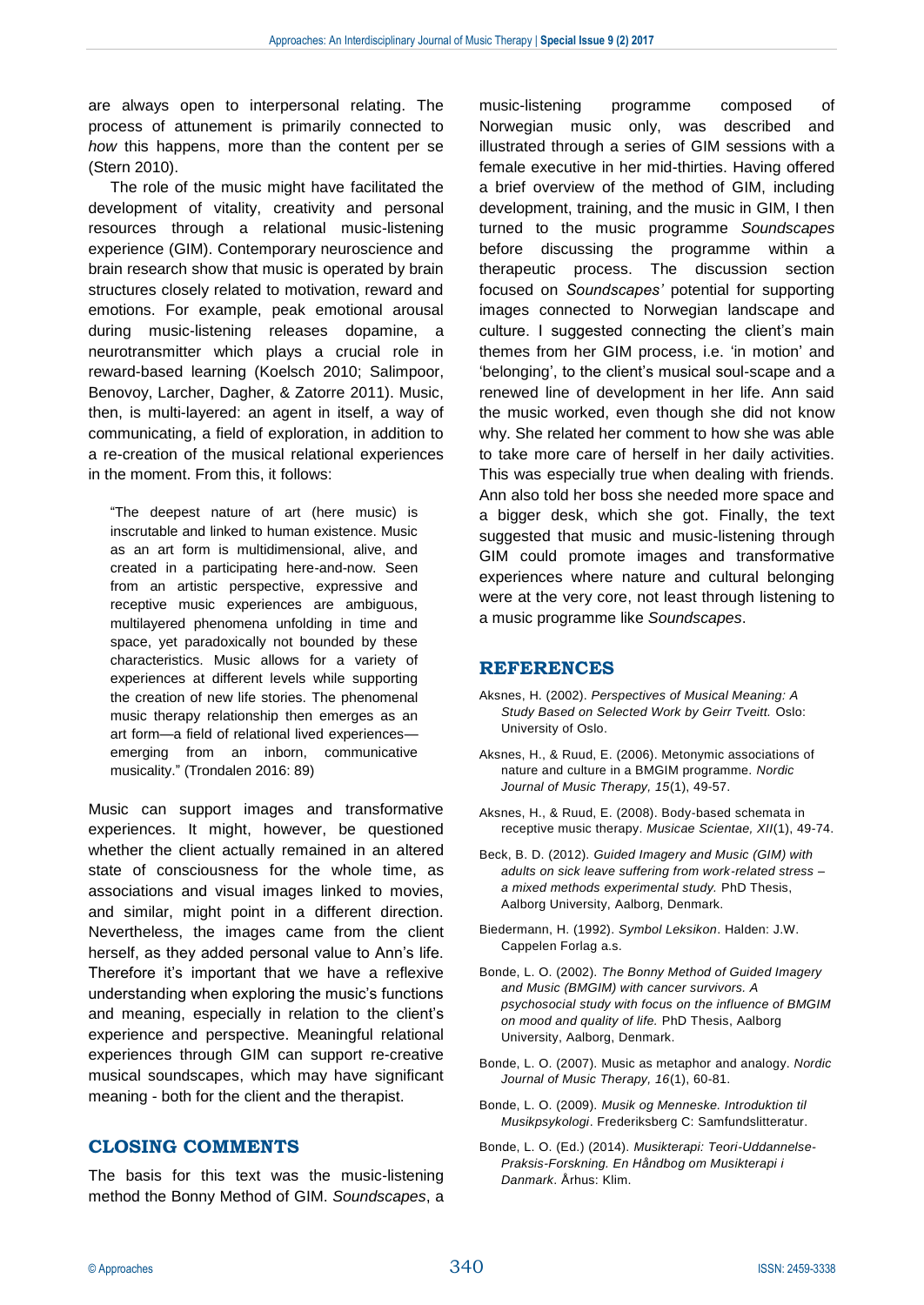are always open to interpersonal relating. The process of attunement is primarily connected to *how* this happens, more than the content per se (Stern 2010).

The role of the music might have facilitated the development of vitality, creativity and personal resources through a relational music-listening experience (GIM). Contemporary neuroscience and brain research show that music is operated by brain structures closely related to motivation, reward and emotions. For example, peak emotional arousal during music-listening releases dopamine, a neurotransmitter which plays a crucial role in reward-based learning (Koelsch 2010; Salimpoor, Benovoy, Larcher, Dagher, & Zatorre 2011). Music, then, is multi-layered: an agent in itself, a way of communicating, a field of exploration, in addition to a re-creation of the musical relational experiences in the moment. From this, it follows:

"The deepest nature of art (here music) is inscrutable and linked to human existence. Music as an art form is multidimensional, alive, and created in a participating here-and-now. Seen from an artistic perspective, expressive and receptive music experiences are ambiguous, multilayered phenomena unfolding in time and space, yet paradoxically not bounded by these characteristics. Music allows for a variety of experiences at different levels while supporting the creation of new life stories. The phenomenal music therapy relationship then emerges as an art form—a field of relational lived experiences emerging from an inborn, communicative musicality." (Trondalen 2016: 89)

Music can support images and transformative experiences. It might, however, be questioned whether the client actually remained in an altered state of consciousness for the whole time, as associations and visual images linked to movies, and similar, might point in a different direction. Nevertheless, the images came from the client herself, as they added personal value to Ann's life. Therefore it's important that we have a reflexive understanding when exploring the music's functions and meaning, especially in relation to the client's experience and perspective. Meaningful relational experiences through GIM can support re-creative musical soundscapes, which may have significant meaning - both for the client and the therapist.

#### **CLOSING COMMENTS**

The basis for this text was the music-listening method the Bonny Method of GIM. *Soundscapes*, a

music-listening programme composed of Norwegian music only, was described and illustrated through a series of GIM sessions with a female executive in her mid-thirties. Having offered a brief overview of the method of GIM, including development, training, and the music in GIM, I then turned to the music programme *Soundscapes* before discussing the programme within a therapeutic process. The discussion section focused on *Soundscapes'* potential for supporting images connected to Norwegian landscape and culture. I suggested connecting the client's main themes from her GIM process, i.e. 'in motion' and 'belonging', to the client's musical soul-scape and a renewed line of development in her life. Ann said the music worked, even though she did not know why. She related her comment to how she was able to take more care of herself in her daily activities. This was especially true when dealing with friends. Ann also told her boss she needed more space and a bigger desk, which she got. Finally, the text suggested that music and music-listening through GIM could promote images and transformative experiences where nature and cultural belonging were at the very core, not least through listening to a music programme like *Soundscapes*.

#### **REFERENCES**

- Aksnes, H. (2002). *Perspectives of Musical Meaning: A Study Based on Selected Work by Geirr Tveitt.* Oslo: University of Oslo.
- Aksnes, H., & Ruud, E. (2006). Metonymic associations of nature and culture in a BMGIM programme. *Nordic Journal of Music Therapy, 15*(1), 49-57.
- Aksnes, H., & Ruud, E. (2008). Body-based schemata in receptive music therapy. *Musicae Scientae, XII*(1), 49-74.
- Beck, B. D. (2012). *Guided Imagery and Music (GIM) with adults on sick leave suffering from work-related stress – a mixed methods experimental study.* PhD Thesis, Aalborg University, Aalborg, Denmark.
- Biedermann, H. (1992). *Symbol Leksikon*. Halden: J.W. Cappelen Forlag a.s.
- Bonde, L. O. (2002). *The Bonny Method of Guided Imagery and Music (BMGIM) with cancer survivors. A psychosocial study with focus on the influence of BMGIM on mood and quality of life.* PhD Thesis, Aalborg University, Aalborg, Denmark.
- Bonde, L. O. (2007). Music as metaphor and analogy. *Nordic Journal of Music Therapy, 16*(1), 60-81.
- Bonde, L. O. (2009). *Musik og Menneske. Introduktion til Musikpsykologi*. Frederiksberg C: Samfundslitteratur.
- Bonde, L. O. (Ed.) (2014). *Musikterapi: Teori-Uddannelse-Praksis-Forskning. En Håndbog om Musikterapi i Danmark*. Århus: Klim.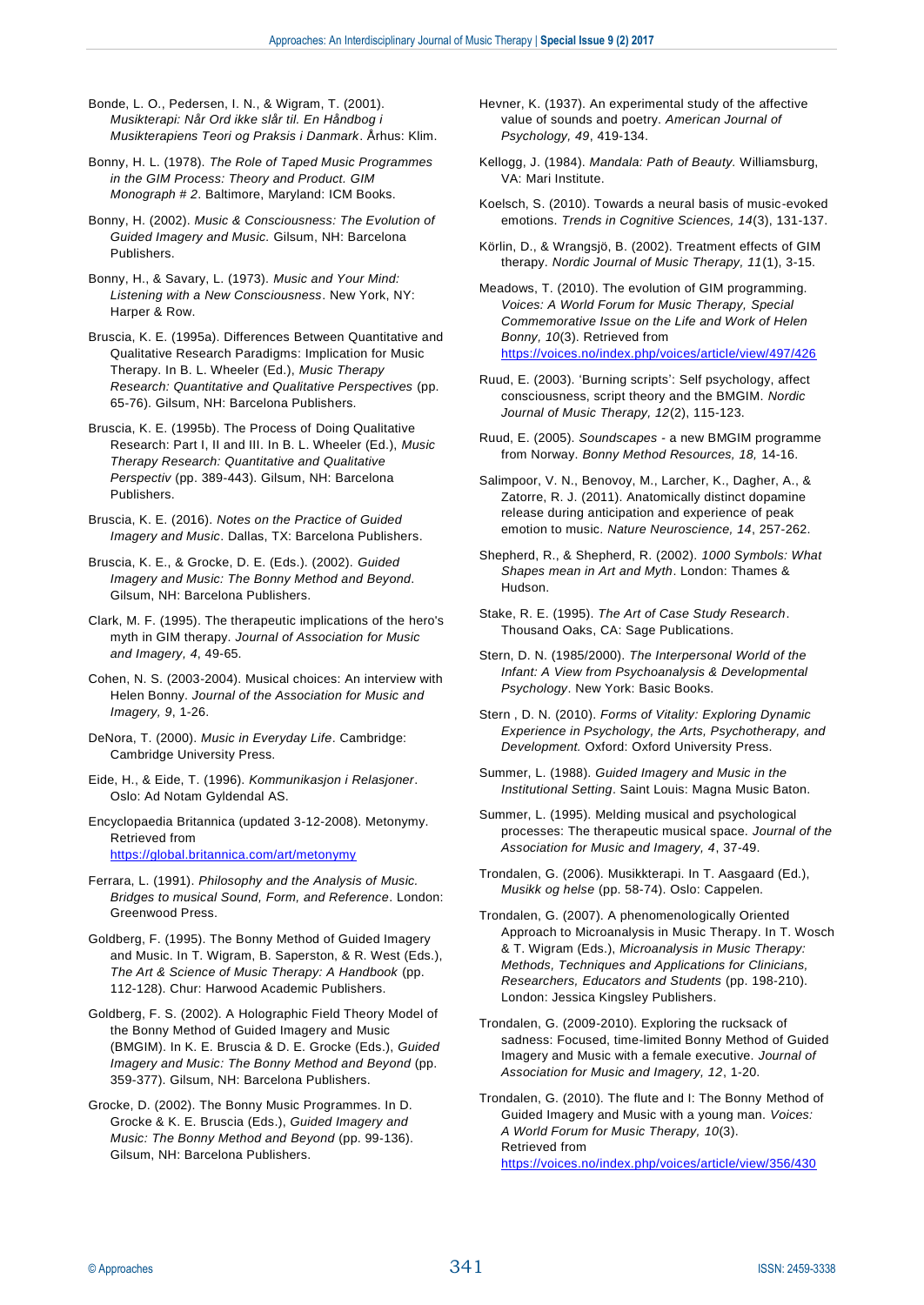Bonde, L. O., Pedersen, I. N., & Wigram, T. (2001). *Musikterapi: Når Ord ikke slår til. En Håndbog i Musikterapiens Teori og Praksis i Danmark*. Århus: Klim.

Bonny, H. L. (1978). *The Role of Taped Music Programmes in the GIM Process: Theory and Product. GIM Monograph # 2*. Baltimore, Maryland: ICM Books.

Bonny, H. (2002). *Music & Consciousness: The Evolution of Guided Imagery and Music.* Gilsum, NH: Barcelona Publishers.

Bonny, H., & Savary, L. (1973). *Music and Your Mind: Listening with a New Consciousness*. New York, NY: Harper & Row.

Bruscia, K. E. (1995a). Differences Between Quantitative and Qualitative Research Paradigms: Implication for Music Therapy. In B. L. Wheeler (Ed.), *Music Therapy Research: Quantitative and Qualitative Perspectives* (pp. 65-76). Gilsum, NH: Barcelona Publishers.

Bruscia, K. E. (1995b). The Process of Doing Qualitative Research: Part I, II and III. In B. L. Wheeler (Ed.), *Music Therapy Research: Quantitative and Qualitative Perspectiv* (pp. 389-443). Gilsum, NH: Barcelona Publishers.

Bruscia, K. E. (2016). *Notes on the Practice of Guided Imagery and Music*. Dallas, TX: Barcelona Publishers.

Bruscia, K. E., & Grocke, D. E. (Eds.). (2002). *Guided Imagery and Music: The Bonny Method and Beyond*. Gilsum, NH: Barcelona Publishers.

Clark, M. F. (1995). The therapeutic implications of the hero's myth in GIM therapy. *Journal of Association for Music and Imagery, 4*, 49-65.

Cohen, N. S. (2003-2004). Musical choices: An interview with Helen Bonny. *Journal of the Association for Music and Imagery, 9*, 1-26.

DeNora, T. (2000). *Music in Everyday Life*. Cambridge: Cambridge University Press.

Eide, H., & Eide, T. (1996). *Kommunikasjon i Relasjoner*. Oslo: Ad Notam Gyldendal AS.

Encyclopaedia Britannica (updated 3-12-2008). Metonymy. Retrieved from <https://global.britannica.com/art/metonymy>

Ferrara, L. (1991). *Philosophy and the Analysis of Music. Bridges to musical Sound, Form, and Reference*. London: Greenwood Press.

Goldberg, F. (1995). The Bonny Method of Guided Imagery and Music. In T. Wigram, B. Saperston, & R. West (Eds.), *The Art & Science of Music Therapy: A Handbook* (pp. 112-128). Chur: Harwood Academic Publishers.

Goldberg, F. S. (2002). A Holographic Field Theory Model of the Bonny Method of Guided Imagery and Music (BMGIM). In K. E. Bruscia & D. E. Grocke (Eds.), *Guided Imagery and Music: The Bonny Method and Beyond* (pp. 359-377). Gilsum, NH: Barcelona Publishers.

Grocke, D. (2002). The Bonny Music Programmes. In D. Grocke & K. E. Bruscia (Eds.), *Guided Imagery and Music: The Bonny Method and Beyond* (pp. 99-136). Gilsum, NH: Barcelona Publishers.

Hevner, K. (1937). An experimental study of the affective value of sounds and poetry. *American Journal of Psychology, 49*, 419-134.

Kellogg, J. (1984). *Mandala: Path of Beauty.* Williamsburg, VA: Mari Institute.

Koelsch, S. (2010). Towards a neural basis of music-evoked emotions. *Trends in Cognitive Sciences, 14*(3), 131-137.

Körlin, D., & Wrangsjö, B. (2002). Treatment effects of GIM therapy. *Nordic Journal of Music Therapy, 11*(1), 3-15.

Meadows, T. (2010). The evolution of GIM programming. *Voices: A World Forum for Music Therapy, Special Commemorative Issue on the Life and Work of Helen Bonny, 10*(3). Retrieved from <https://voices.no/index.php/voices/article/view/497/426>

Ruud, E. (2003). 'Burning scripts': Self psychology, affect consciousness, script theory and the BMGIM. *Nordic Journal of Music Therapy, 12*(2), 115-123.

Ruud, E. (2005). *Soundscapes -* a new BMGIM programme from Norway. *Bonny Method Resources, 18,* 14-16.

Salimpoor, V. N., Benovoy, M., Larcher, K., Dagher, A., & Zatorre, R. J. (2011). Anatomically distinct dopamine release during anticipation and experience of peak emotion to music. *Nature Neuroscience, 14*, 257-262.

Shepherd, R., & Shepherd, R. (2002). *1000 Symbols: What Shapes mean in Art and Myth*. London: Thames & Hudson.

Stern, D. N. (1985/2000). *The Interpersonal World of the Infant: A View from Psychoanalysis & Developmental Psychology*. New York: Basic Books.

Stern , D. N. (2010). *Forms of Vitality: Exploring Dynamic Experience in Psychology, the Arts, Psychotherapy, and Development.* Oxford: Oxford University Press.

Summer, L. (1988). *Guided Imagery and Music in the Institutional Setting*. Saint Louis: Magna Music Baton.

Summer, L. (1995). Melding musical and psychological processes: The therapeutic musical space. *Journal of the Association for Music and Imagery, 4*, 37-49.

Trondalen, G. (2006). Musikkterapi. In T. Aasgaard (Ed.), *Musikk og helse* (pp. 58-74). Oslo: Cappelen.

Trondalen, G. (2007). A phenomenologically Oriented Approach to Microanalysis in Music Therapy. In T. Wosch & T. Wigram (Eds.), *Microanalysis in Music Therapy: Methods, Techniques and Applications for Clinicians, Researchers, Educators and Students* (pp. 198-210). London: Jessica Kingsley Publishers.

Trondalen, G. (2009-2010). Exploring the rucksack of sadness: Focused, time-limited Bonny Method of Guided Imagery and Music with a female executive. *Journal of Association for Music and Imagery, 12*, 1-20.

Trondalen, G. (2010). The flute and I: The Bonny Method of Guided Imagery and Music with a young man. *Voices: A World Forum for Music Therapy, 10*(3). Retrieved from <https://voices.no/index.php/voices/article/view/356/430>

Stake, R. E. (1995). *The Art of Case Study Research*. Thousand Oaks, CA: Sage Publications.